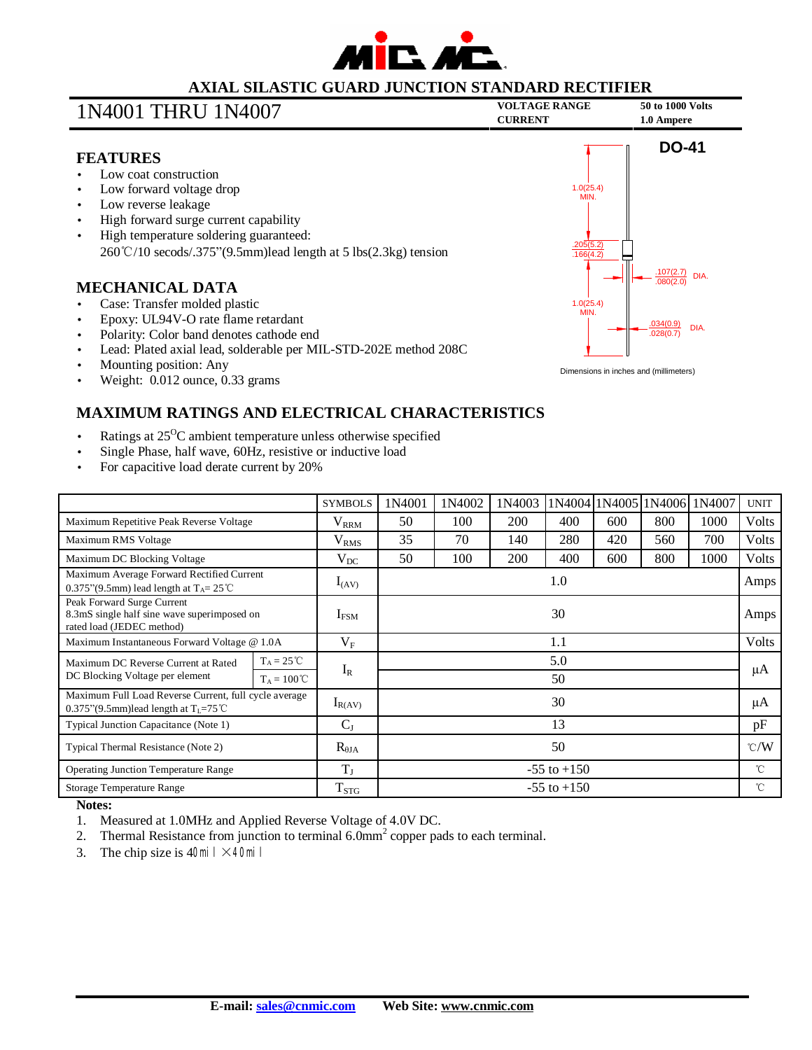

## **AXIAL SILASTIC GUARD JUNCTION STANDARD RECTIFIER**

# **VOLTAGE RANGE <sup>50</sup> to <sup>1000</sup> Volts** 1N4001 THRU 1N4007 **CURRENT 1.0 Ampere**



## **FEATURES**

- Low coat construction
- Low forward voltage drop
- Low reverse leakage
- High forward surge current capability
- High temperature soldering guaranteed: 260℃/10 secods/.375"(9.5mm)lead length at 5 lbs(2.3kg) tension

## **MECHANICAL DATA**

- Case: Transfer molded plastic
- Epoxy: UL94V-O rate flame retardant
- Polarity: Color band denotes cathode end
- Lead: Plated axial lead, solderable per MIL-STD-202E method 208C
- Mounting position: Any
- Weight: 0.012 ounce, 0.33 grams



# **MAXIMUM RATINGS AND ELECTRICAL CHARACTERISTICS**

- Ratings at  $25^{\circ}$ C ambient temperature unless otherwise specified
- Single Phase, half wave, 60Hz, resistive or inductive load
- For capacitive load derate current by 20%

|                                                                                                           |                      | <b>SYMBOLS</b>   | 1N4001          | 1N4002 | 1N4003 |     |     | 1N4004 1N4005 1N4006 | 1N4007 | <b>UNIT</b>   |
|-----------------------------------------------------------------------------------------------------------|----------------------|------------------|-----------------|--------|--------|-----|-----|----------------------|--------|---------------|
| Maximum Repetitive Peak Reverse Voltage                                                                   |                      | $V_{RRM}$        | 50              | 100    | 200    | 400 | 600 | 800                  | 1000   | <b>Volts</b>  |
| Maximum RMS Voltage                                                                                       |                      | V <sub>RMS</sub> | 35              | 70     | 140    | 280 | 420 | 560                  | 700    | <b>Volts</b>  |
| Maximum DC Blocking Voltage                                                                               |                      | $\rm V_{DC}$     | 50              | 100    | 200    | 400 | 600 | 800                  | 1000   | <b>Volts</b>  |
| Maximum Average Forward Rectified Current<br>0.375"(9.5mm) lead length at $T_A = 25^{\circ}$ C            |                      | $I_{(AV)}$       | 1.0             |        |        |     |     |                      |        | Amps          |
| Peak Forward Surge Current<br>8.3mS single half sine wave superimposed on<br>rated load (JEDEC method)    |                      | $I_{FSM}$        | 30              |        |        |     |     |                      |        | Amps          |
| Maximum Instantaneous Forward Voltage @ 1.0A                                                              |                      | $V_{\rm F}$      | 1.1             |        |        |     |     |                      |        | Volts         |
| Maximum DC Reverse Current at Rated<br>DC Blocking Voltage per element                                    | $T_A = 25^{\circ}C$  | $I_R$            | 5.0             |        |        |     |     |                      |        | μA            |
|                                                                                                           | $T_A = 100^{\circ}C$ |                  | 50              |        |        |     |     |                      |        |               |
| Maximum Full Load Reverse Current, full cycle average<br>0.375"(9.5mm)lead length at $T_1 = 75^{\circ}$ C |                      | $I_{R(AV)}$      | 30              |        |        |     |     |                      |        | μA            |
| Typical Junction Capacitance (Note 1)                                                                     |                      | $C_{J}$          | 13              |        |        |     |     |                      |        | pF            |
| Typical Thermal Resistance (Note 2)                                                                       |                      | $R_{\theta JA}$  | 50              |        |        |     |     |                      |        | $\degree$ C/W |
| <b>Operating Junction Temperature Range</b>                                                               |                      | $T_{J}$          | $-55$ to $+150$ |        |        |     |     |                      |        | $^{\circ}$ C  |
| <b>Storage Temperature Range</b>                                                                          |                      | $T_{STG}$        | $-55$ to $+150$ |        |        |     |     |                      |        | °C            |

### **Notes:**

- 1. Measured at 1.0MHz and Applied Reverse Voltage of 4.0V DC.
- 2. Thermal Resistance from junction to terminal  $6.0 \text{mm}^2$  copper pads to each terminal.
- 3. The chip size is  $40\text{H} \times 40\text{H}$